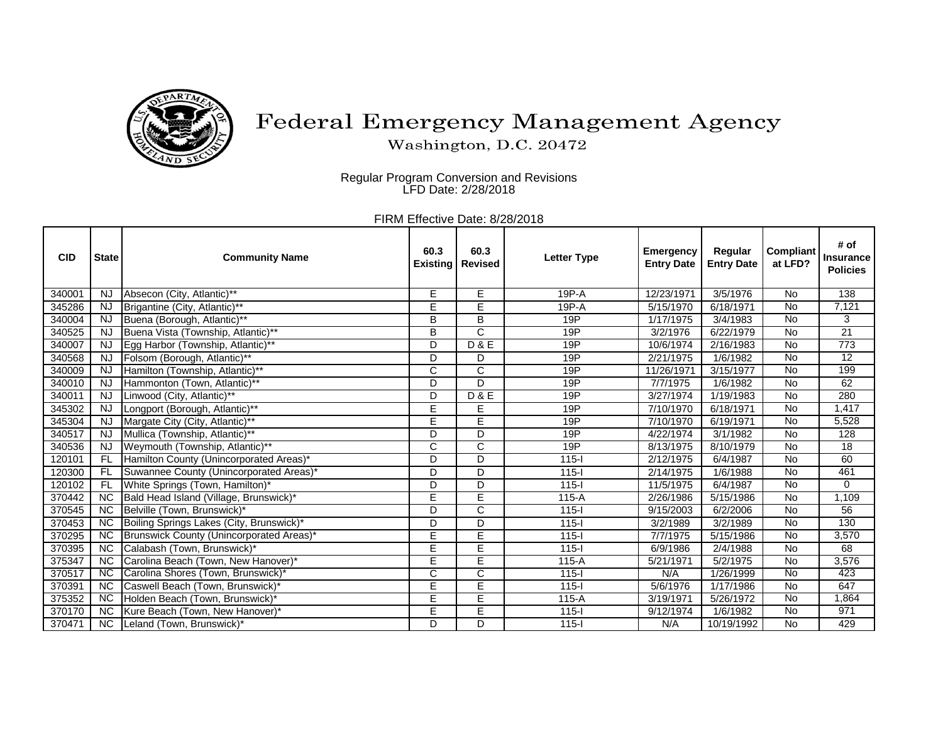

## Federal Emergency Management Agency

Washington, D.C. 20472

Regular Program Conversion and Revisions LFD Date: 2/28/2018

FIRM Effective Date: 8/28/2018

| <b>CID</b> | <b>State</b>    | <b>Community Name</b>                    | 60.3<br><b>Existing</b> | 60.3<br><b>Revised</b>  | <b>Letter Type</b> | <b>Emergency</b><br><b>Entry Date</b> | Regular<br><b>Entry Date</b> | <b>Compliant</b><br>at LFD? | # of<br><b>Insurance</b><br><b>Policies</b> |
|------------|-----------------|------------------------------------------|-------------------------|-------------------------|--------------------|---------------------------------------|------------------------------|-----------------------------|---------------------------------------------|
| 340001     | NJ              | Absecon (City, Atlantic)**               | E                       | E                       | 19P-A              | 12/23/1971                            | 3/5/1976                     | No                          | 138                                         |
| 345286     | <b>NJ</b>       | Brigantine (City, Atlantic)**            | Ē                       | Ē                       | 19P-A              | 5/15/1970                             | 6/18/1971                    | $\overline{N}$              | 7,121                                       |
| 340004     | <b>NJ</b>       | Buena (Borough, Atlantic)**              | B                       | B                       | 19P                | 1/17/1975                             | 3/4/1983                     | <b>No</b>                   | 3                                           |
| 340525     | <b>NJ</b>       | Buena Vista (Township, Atlantic)**       | B                       | $\mathsf{C}$            | 19P                | 3/2/1976                              | 6/22/1979                    | No                          | $\overline{21}$                             |
| 340007     | <b>NJ</b>       | Egg Harbor (Township, Atlantic)**        | D                       | D & E                   | 19P                | 10/6/1974                             | 2/16/1983                    | $\overline{N}$              | $\overline{773}$                            |
| 340568     | <b>NJ</b>       | Folsom (Borough, Atlantic)**             | D                       | D                       | 19P                | 2/21/1975                             | 1/6/1982                     | <b>No</b>                   | 12                                          |
| 340009     | <b>NJ</b>       | Hamilton (Township, Atlantic)**          | C                       | $\overline{C}$          | 19P                | 11/26/1971                            | 3/15/1977                    | $\overline{N}$              | 199                                         |
| 340010     | <b>NJ</b>       | Hammonton (Town, Atlantic)**             | D                       | D                       | 19P                | 7/7/1975                              | 1/6/1982                     | <b>No</b>                   | 62                                          |
| 340011     | <b>NJ</b>       | Linwood (City, Atlantic)**               | D                       | <b>D&amp;E</b>          | 19P                | 3/27/1974                             | 1/19/1983                    | <b>No</b>                   | 280                                         |
| 345302     | <b>NJ</b>       | Longport (Borough, Atlantic)**           | E                       | E                       | 19P                | 7/10/1970                             | 6/18/1971                    | $\overline{N}$              | 1,417                                       |
| 345304     | <b>NJ</b>       | Margate City (City, Atlantic)**          | E                       | Ē                       | 19P                | 7/10/1970                             | 6/19/1971                    | <b>No</b>                   | 5,528                                       |
| 340517     | <b>NJ</b>       | Mullica (Township, Atlantic)**           | D                       | D                       | 19P                | 4/22/1974                             | 3/1/1982                     | <b>No</b>                   | 128                                         |
| 340536     | <b>NJ</b>       | Weymouth (Township, Atlantic)**          | C                       | $\mathsf{C}$            | 19P                | 8/13/1975                             | 8/10/1979                    | <b>No</b>                   | 18                                          |
| 120101     | FL              | Hamilton County (Unincorporated Areas)*  | D                       | D                       | $115 -$            | 2/12/1975                             | 6/4/1987                     | No                          | 60                                          |
| 120300     | <b>FL</b>       | Suwannee County (Unincorporated Areas)*  | D                       | D                       | $115 -$            | 2/14/1975                             | 1/6/1988                     | <b>No</b>                   | 461                                         |
| 120102     | <b>FL</b>       | White Springs (Town, Hamilton)*          | D                       | D                       | $115 -$            | 11/5/1975                             | 6/4/1987                     | <b>No</b>                   | $\Omega$                                    |
| 370442     | <b>NC</b>       | Bald Head Island (Village, Brunswick)*   | E                       | E                       | $115-A$            | 2/26/1986                             | 5/15/1986                    | <b>No</b>                   | 1,109                                       |
| 370545     | $\overline{NC}$ | Belville (Town, Brunswick)*              | D                       | $\overline{C}$          | $115 -$            | 9/15/2003                             | 6/2/2006                     | $\overline{N}$              | 56                                          |
| 370453     | <b>NC</b>       | Boiling Springs Lakes (City, Brunswick)* | D                       | D                       | $115 -$            | 3/2/1989                              | 3/2/1989                     | <b>No</b>                   | 130                                         |
| 370295     | <b>NC</b>       | Brunswick County (Unincorporated Areas)* | E                       | $\overline{E}$          | $115 -$            | 7/7/1975                              | 5/15/1986                    | No                          | 3,570                                       |
| 370395     | <b>NC</b>       | Calabash (Town, Brunswick)*              | E                       | E                       | $115 -$            | 6/9/1986                              | 2/4/1988                     | <b>No</b>                   | 68                                          |
| 375347     | <b>NC</b>       | Carolina Beach (Town, New Hanover)*      | E                       | E                       | $115-A$            | 5/21/1971                             | 5/2/1975                     | <b>No</b>                   | 3,576                                       |
| 370517     | $\overline{NC}$ | Carolina Shores (Town, Brunswick)*       | $\overline{\text{C}}$   | $\overline{\mathsf{C}}$ | $115 -$            | N/A                                   | 1/26/1999                    | <b>No</b>                   | 423                                         |
| 370391     | <b>NC</b>       | Caswell Beach (Town, Brunswick)*         | E                       | E                       | $115 -$            | 5/6/1976                              | 1/17/1986                    | <b>No</b>                   | 647                                         |
| 375352     | NC.             | Holden Beach (Town, Brunswick)*          | E                       | Ē                       | $115-A$            | 3/19/1971                             | 5/26/1972                    | $\overline{N}$              | 1,864                                       |
| 370170     | <b>NC</b>       | Kure Beach (Town, New Hanover)*          | E                       | E                       | $115 -$            | 9/12/1974                             | 1/6/1982                     | <b>No</b>                   | 971                                         |
| 370471     | <b>NC</b>       | Leland (Town, Brunswick)*                | D                       | D                       | $115 -$            | N/A                                   | 10/19/1992                   | No                          | 429                                         |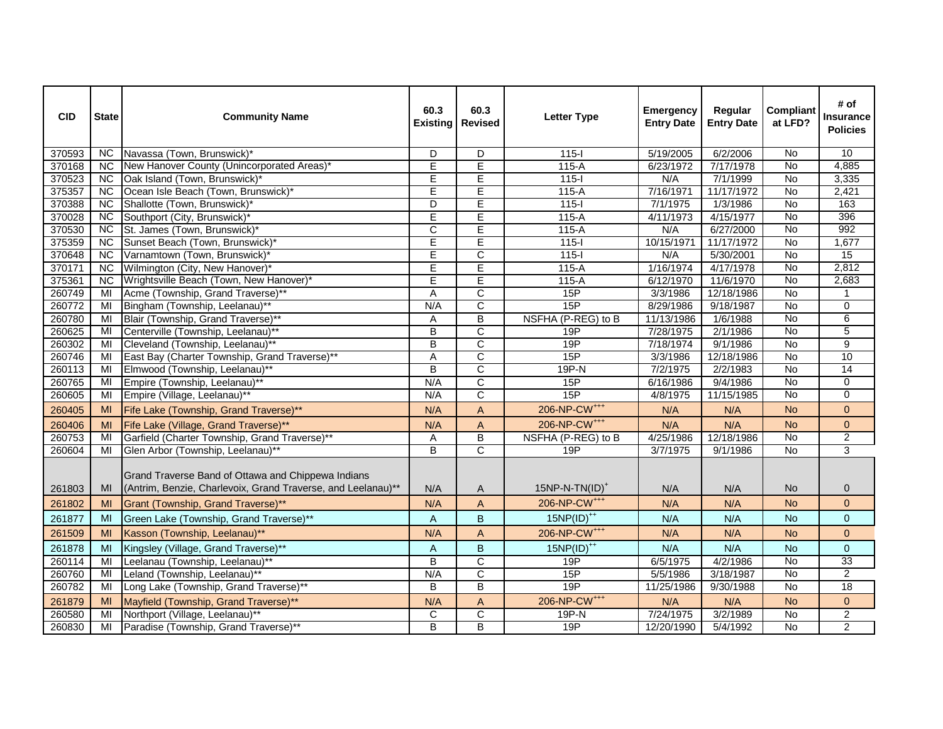| <b>CID</b> | <b>State</b>    | <b>Community Name</b>                                                                                              | 60.3<br><b>Existing</b> | 60.3<br><b>Revised</b>  | <b>Letter Type</b>       | <b>Emergency</b><br><b>Entry Date</b> | Regular<br><b>Entry Date</b> | <b>Compliant</b><br>at LFD? | # of<br><b>Insurance</b><br><b>Policies</b> |
|------------|-----------------|--------------------------------------------------------------------------------------------------------------------|-------------------------|-------------------------|--------------------------|---------------------------------------|------------------------------|-----------------------------|---------------------------------------------|
| 370593     | <b>NC</b>       | Navassa (Town, Brunswick)*                                                                                         | D                       | D                       | $115 - 1$                | 5/19/2005                             | 6/2/2006                     | No                          | 10                                          |
| 370168     | <b>NC</b>       | New Hanover County (Unincorporated Areas)*                                                                         | E                       | E                       | $115-A$                  | 6/23/1972                             | 7/17/1978                    | No                          | 4,885                                       |
| 370523     | <b>NC</b>       | Oak Island (Town, Brunswick)*                                                                                      | $\overline{E}$          | $\overline{E}$          | $115 -$                  | N/A                                   | 7/1/1999                     | No                          | 3,335                                       |
| 375357     | <b>NC</b>       | Ocean Isle Beach (Town, Brunswick)*                                                                                | E                       | $\overline{E}$          | $115-A$                  | 7/16/1971                             | 11/17/1972                   | <b>No</b>                   | 2,421                                       |
| 370388     | <b>NC</b>       | Shallotte (Town, Brunswick)*                                                                                       | D                       | $\overline{E}$          | $115-I$                  | 7/1/1975                              | 1/3/1986                     | No                          | 163                                         |
| 370028     | <b>NC</b>       | Southport (City, Brunswick)*                                                                                       | $\overline{E}$          | $\overline{E}$          | $115-A$                  | 4/11/1973                             | 4/15/1977                    | <b>No</b>                   | 396                                         |
| 370530     | <b>NC</b>       | St. James (Town, Brunswick)*                                                                                       | $\mathsf{C}$            | $\overline{E}$          | $115-A$                  | N/A                                   | 6/27/2000                    | <b>No</b>                   | 992                                         |
| 375359     | $\overline{NC}$ | Sunset Beach (Town, Brunswick)*                                                                                    | $\overline{E}$          | $\overline{E}$          | $115 -$                  | 10/15/1971                            | 11/17/1972                   | $\overline{N}$              | 1,677                                       |
| 370648     | <b>NC</b>       | Varnamtown (Town, Brunswick)*                                                                                      | E                       | $\mathsf{C}$            | $115-I$                  | N/A                                   | 5/30/2001                    | <b>No</b>                   | 15                                          |
| 370171     | <b>NC</b>       | Wilmington (City, New Hanover)*                                                                                    | E                       | Έ                       | $115-A$                  | 1/16/1974                             | 4/17/1978                    | No                          | 2,812                                       |
| 375361     | <b>NC</b>       | Wrightsville Beach (Town, New Hanover)*                                                                            | $\overline{E}$          | $\overline{\mathsf{E}}$ | $115-A$                  | 6/12/1970                             | 11/6/1970                    | No                          | 2,683                                       |
| 260749     | MI              | Acme (Township, Grand Traverse)**                                                                                  | A                       | $\overline{C}$          | 15P                      | 3/3/1986                              | 12/18/1986                   | $\overline{N}$              | 1                                           |
| 260772     | MI              | Bingham (Township, Leelanau)**                                                                                     | N/A                     | $\overline{C}$          | 15P                      | 8/29/1986                             | 9/18/1987                    | No                          | $\mathbf 0$                                 |
| 260780     | MI              | Blair (Township, Grand Traverse)**                                                                                 | Α                       | $\sf B$                 | NSFHA (P-REG) to B       | 11/13/1986                            | 1/6/1988                     | No                          | 6                                           |
| 260625     | MI              | Centerville (Township, Leelanau)**                                                                                 | B                       | $\mathsf{C}$            | 19P                      | 7/28/1975                             | 2/1/1986                     | <b>No</b>                   | 5                                           |
| 260302     | MI              | Cleveland (Township, Leelanau)**                                                                                   | B                       | $\overline{C}$          | 19P                      | 7/18/1974                             | 9/1/1986                     | $\overline{N}$              | $\overline{9}$                              |
| 260746     | MI              | East Bay (Charter Township, Grand Traverse)**                                                                      | A                       | $\mathsf{C}$            | 15P                      | 3/3/1986                              | 12/18/1986                   | <b>No</b>                   | 10                                          |
| 260113     | MI              | Elmwood (Township, Leelanau)**                                                                                     | B                       | $\mathsf{C}$            | 19P-N                    | 7/2/1975                              | 2/2/1983                     | No                          | 14                                          |
| 260765     | MI              | Empire (Township, Leelanau)**                                                                                      | N/A                     | $\overline{C}$          | 15P                      | 6/16/1986                             | 9/4/1986                     | No                          | $\pmb{0}$                                   |
| 260605     | MI              | Empire (Village, Leelanau)**                                                                                       | N/A                     | $\overline{C}$          | 15P                      | 4/8/1975                              | 11/15/1985                   | <b>No</b>                   | $\mathbf{0}$                                |
| 260405     | MI              | Fife Lake (Township, Grand Traverse)**                                                                             | N/A                     | $\mathsf{A}$            | 206-NP-CW <sup>+++</sup> | N/A                                   | N/A                          | <b>No</b>                   | $\overline{0}$                              |
| 260406     | MI              | Fife Lake (Village, Grand Traverse)**                                                                              | N/A                     | $\mathsf{A}$            | 206-NP-CW <sup>+++</sup> | N/A                                   | N/A                          | <b>No</b>                   | $\mathbf 0$                                 |
| 260753     | MI              | Garfield (Charter Township, Grand Traverse)**                                                                      | Α                       | B                       | NSFHA (P-REG) to B       | 4/25/1986                             | 12/18/1986                   | No                          | $\overline{a}$                              |
| 260604     | MI              | Glen Arbor (Township, Leelanau)**                                                                                  | $\overline{B}$          | $\overline{C}$          | 19P                      | 3/7/1975                              | 9/1/1986                     | No                          | $\overline{3}$                              |
| 261803     | MI              | Grand Traverse Band of Ottawa and Chippewa Indians<br>(Antrim, Benzie, Charlevoix, Grand Traverse, and Leelanau)** | N/A                     | $\mathsf{A}$            | $15NP-N-TN(ID)^+$        | N/A                                   | N/A                          | <b>No</b>                   | 0                                           |
| 261802     | MI              | Grant (Township, Grand Traverse)**                                                                                 | N/A                     | $\mathsf{A}$            | 206-NP-CW <sup>+++</sup> | N/A                                   | N/A                          | <b>No</b>                   | $\overline{0}$                              |
| 261877     | MI              | Green Lake (Township, Grand Traverse)**                                                                            | A                       | $\sf B$                 | $15NP(ID)^{++}$          | N/A                                   | N/A                          | No.                         | $\mathbf 0$                                 |
| 261509     | MI              | Kasson (Township, Leelanau)**                                                                                      | N/A                     | $\mathsf{A}$            | 206-NP-CW <sup>+++</sup> | N/A                                   | N/A                          | <b>No</b>                   | $\mathbf 0$                                 |
| 261878     | MI              | Kingsley (Village, Grand Traverse)**                                                                               | A                       | B                       | $15NP(ID)^{++}$          | N/A                                   | N/A                          | <b>No</b>                   | $\overline{0}$                              |
| 260114     | MI              | Leelanau (Township, Leelanau)**                                                                                    | $\overline{\mathsf{B}}$ | $\overline{C}$          | 19P                      | 6/5/1975                              | 4/2/1986                     | No                          | 33                                          |
| 260760     | MI              | Leland (Township, Leelanau)**                                                                                      | N/A                     | $\overline{C}$          | 15P                      | 5/5/1986                              | 3/18/1987                    | No                          | $\overline{2}$                              |
| 260782     | MI              | Long Lake (Township, Grand Traverse)**                                                                             | B                       | $\overline{B}$          | 19P                      | 11/25/1986                            | 9/30/1988                    | No                          | 18                                          |
| 261879     | MI              | Mayfield (Township, Grand Traverse)**                                                                              | N/A                     | $\mathsf A$             | 206-NP-CW <sup>+++</sup> | N/A                                   | N/A                          | <b>No</b>                   | $\mathbf 0$                                 |
| 260580     | MI              | Northport (Village, Leelanau)**                                                                                    | $\mathsf C$             | $\overline{C}$          | 19P-N                    | 7/24/1975                             | 3/2/1989                     | No                          | $\overline{2}$                              |
| 260830     | MI              | Paradise (Township, Grand Traverse)**                                                                              | B                       | $\overline{B}$          | 19P                      | 12/20/1990                            | 5/4/1992                     | No                          | $\overline{2}$                              |